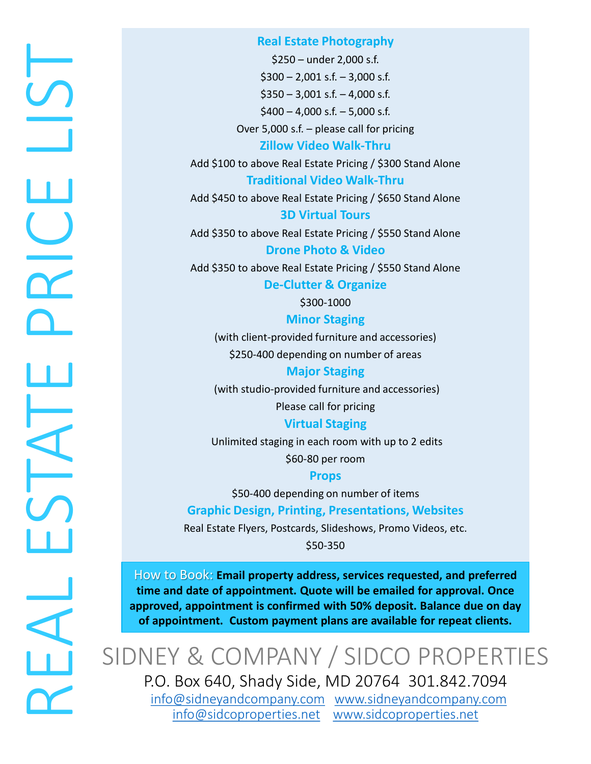# REAL ESTATE PRICE LIST  $\overline{\phantom{0}}$ HOLD<br>DRIV  $\Box$ ESTAT LAL

# **Real Estate Photography**

\$250 – under 2,000 s.f.  $$300 - 2,001$  s.f.  $- 3,000$  s.f.  $$350 - 3,001$  s.f.  $- 4,000$  s.f.  $$400 - 4,000 \text{ s.f.} - 5,000 \text{ s.f.}$ Over 5,000 s.f. – please call for pricing

# **Zillow Video Walk-Thru**

Add \$100 to above Real Estate Pricing / \$300 Stand Alone

**Traditional Video Walk-Thru**

Add \$450 to above Real Estate Pricing / \$650 Stand Alone **3D Virtual Tours**

Add \$350 to above Real Estate Pricing / \$550 Stand Alone **Drone Photo & Video**

Add \$350 to above Real Estate Pricing / \$550 Stand Alone

**De-Clutter & Organize**

\$300-1000

**Minor Staging** 

(with client-provided furniture and accessories) \$250-400 depending on number of areas

**Major Staging**

(with studio-provided furniture and accessories)

Please call for pricing

**Virtual Staging**

Unlimited staging in each room with up to 2 edits

\$60-80 per room

# **Props**

\$50-400 depending on number of items

**Graphic Design, Printing, Presentations, Websites**

Real Estate Flyers, Postcards, Slideshows, Promo Videos, etc. \$50-350

How to Book: **Email property address, services requested, and preferred time and date of appointment. Quote will be emailed for approval. Once approved, appointment is confirmed with 50% deposit. Balance due on day of appointment. Custom payment plans are available for repeat clients.**

SIDNEY & COMPANY / SIDCO PROPERTIES P.O. Box 640, Shady Side, MD 20764 301.842.7094

[info@sidneyandcompany.com](mailto:info@sidneyandcompany.com) [www.sidneyandcompany.com](http://www.sidneyandcompany.com/) [info@sidcoproperties.net](mailto:info@sidcoproperties.net) [www.sidcoproperties.net](http://www.sidcoproperties.net/)